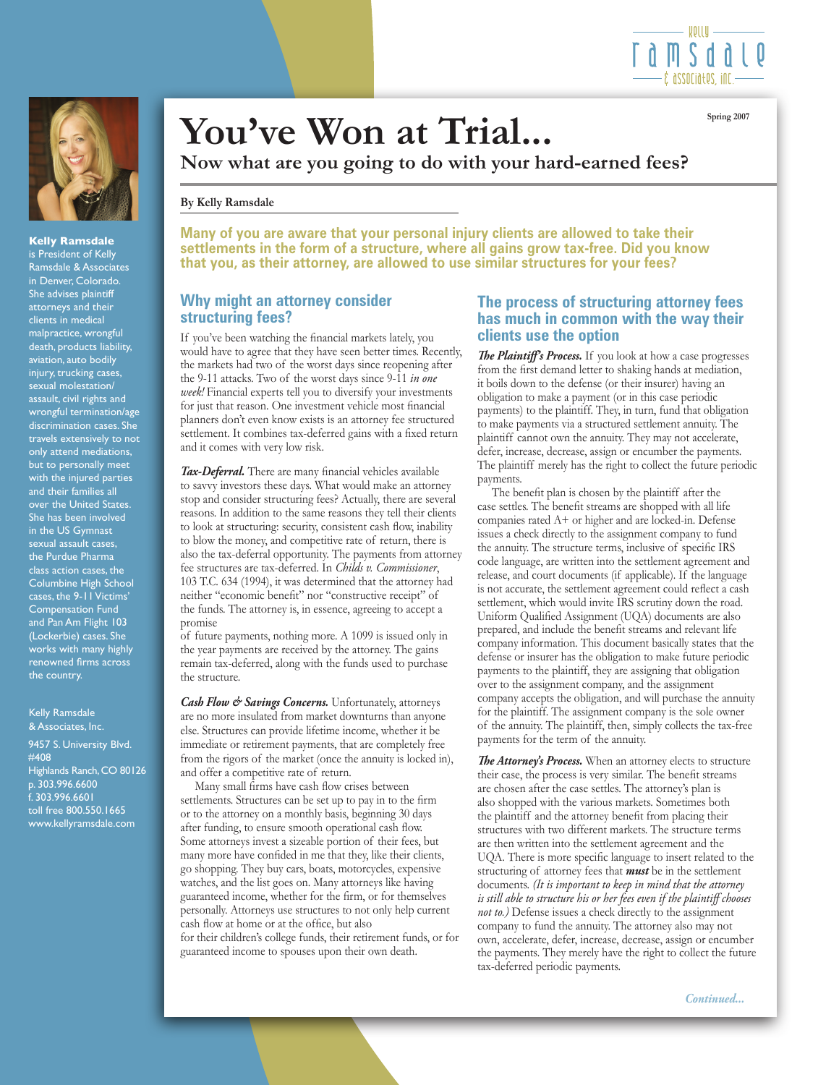



**Kelly Ramsdale**

is President of Kelly Ramsdale & Associates in Denver, Colorado. She advises plaintiff attorneys and their clients in medical malpractice, wrongful death, products liability, aviation, auto bodily injury, trucking cases, sexual molestation/ assault, civil rights and wrongful termination/age discrimination cases. She travels extensively to not only attend mediations, but to personally meet with the injured parties and their families all over the United States. She has been involved in the US Gymnast sexual assault cases, the Purdue Pharma class action cases, the Columbine High School cases, the 9-11 Victims' Compensation Fund and Pan Am Flight 103 (Lockerbie) cases. She works with many highly renowned firms across the country.

#### Kelly Ramsdale & Associates, Inc.

9457 S. University Blvd. #408 Highlands Ranch, CO 80126 p. 303.996.6600 f. 303.996.6601 toll free 800.550.1665 www.kellyramsdale.com

# You've Won at Trial...

**Now what are you going to do with your hard-earned fees?**

#### **By Kelly Ramsdale**

**Many of you are aware that your personal injury clients are allowed to take their settlements in the form of a structure, where all gains grow tax-free. Did you know that you, as their attorney, are allowed to use similar structures for your fees?** 

### **Why might an attorney consider structuring fees?**

If you've been watching the financial markets lately, you would have to agree that they have seen better times. Recently, the markets had two of the worst days since reopening after the 9-11 attacks. Two of the worst days since 9-11 *in one week!* Financial experts tell you to diversify your investments for just that reason. One investment vehicle most financial planners don't even know exists is an attorney fee structured settlement. It combines tax-deferred gains with a fixed return and it comes with very low risk.

*Tax-Deferral.* There are many financial vehicles available to savvy investors these days. What would make an attorney stop and consider structuring fees? Actually, there are several reasons. In addition to the same reasons they tell their clients to look at structuring: security, consistent cash flow, inability to blow the money, and competitive rate of return, there is also the tax-deferral opportunity. The payments from attorney fee structures are tax-deferred. In *Childs v. Commissioner*, 103 T.C. 634 (1994), it was determined that the attorney had neither "economic benefit" nor "constructive receipt" of the funds. The attorney is, in essence, agreeing to accept a promise

of future payments, nothing more. A 1099 is issued only in the year payments are received by the attorney. The gains remain tax-deferred, along with the funds used to purchase the structure.

*Cash Flow & Savings Concerns.* Unfortunately, attorneys are no more insulated from market downturns than anyone else. Structures can provide lifetime income, whether it be immediate or retirement payments, that are completely free from the rigors of the market (once the annuity is locked in), and offer a competitive rate of return.

 Many small firms have cash flow crises between settlements. Structures can be set up to pay in to the firm or to the attorney on a monthly basis, beginning 30 days after funding, to ensure smooth operational cash flow. Some attorneys invest a sizeable portion of their fees, but many more have confided in me that they, like their clients, go shopping. They buy cars, boats, motorcycles, expensive watches, and the list goes on. Many attorneys like having guaranteed income, whether for the firm, or for themselves personally. Attorneys use structures to not only help current cash flow at home or at the office, but also for their children's college funds, their retirement funds, or for guaranteed income to spouses upon their own death.

# **The process of structuring attorney fees has much in common with the way their clients use the option**

*The Plaintiff's Process.* If you look at how a case progresses from the first demand letter to shaking hands at mediation, it boils down to the defense (or their insurer) having an obligation to make a payment (or in this case periodic payments) to the plaintiff. They, in turn, fund that obligation to make payments via a structured settlement annuity. The plaintiff cannot own the annuity. They may not accelerate, defer, increase, decrease, assign or encumber the payments. The plaintiff merely has the right to collect the future periodic payments.

 The benefit plan is chosen by the plaintiff after the case settles. The benefit streams are shopped with all life companies rated A+ or higher and are locked-in. Defense issues a check directly to the assignment company to fund the annuity. The structure terms, inclusive of specific IRS code language, are written into the settlement agreement and release, and court documents (if applicable). If the language is not accurate, the settlement agreement could reflect a cash settlement, which would invite IRS scrutiny down the road. Uniform Qualified Assignment (UQA) documents are also prepared, and include the benefit streams and relevant life company information. This document basically states that the defense or insurer has the obligation to make future periodic payments to the plaintiff, they are assigning that obligation over to the assignment company, and the assignment company accepts the obligation, and will purchase the annuity for the plaintiff. The assignment company is the sole owner of the annuity. The plaintiff, then, simply collects the tax-free payments for the term of the annuity.

*The Attorney's Process.* When an attorney elects to structure their case, the process is very similar. The benefit streams are chosen after the case settles. The attorney's plan is also shopped with the various markets. Sometimes both the plaintiff and the attorney benefit from placing their structures with two different markets. The structure terms are then written into the settlement agreement and the UQA. There is more specific language to insert related to the structuring of attorney fees that *must* be in the settlement documents. *(It is important to keep in mind that the attorney is still able to structure his or her fees even if the plaintiff chooses not to.)* Defense issues a check directly to the assignment company to fund the annuity. The attorney also may not own, accelerate, defer, increase, decrease, assign or encumber the payments. They merely have the right to collect the future tax-deferred periodic payments.